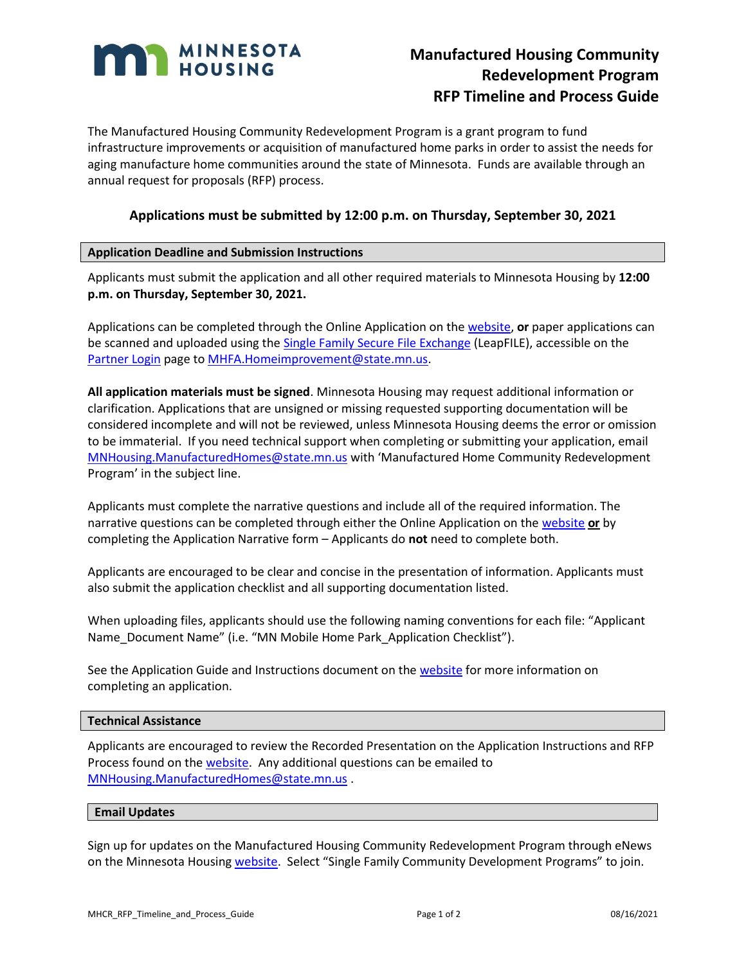

# **Manufactured Housing Community Redevelopment Program RFP Timeline and Process Guide**

The Manufactured Housing Community Redevelopment Program is a grant program to fund infrastructure improvements or acquisition of manufactured home parks in order to assist the needs for aging manufacture home communities around the state of Minnesota. Funds are available through an annual request for proposals (RFP) process.

# **Applications must be submitted by 12:00 p.m. on Thursday, September 30, 2021**

# **Application Deadline and Submission Instructions**

Applicants must submit the application and all other required materials to Minnesota Housing by **12:00 p.m. on Thursday, September 30, 2021.**

Applications can be completed through the Online Application on the [website,](http://www.mnhousing.gov/sites/lenders/ManufacturedHousing) **or** paper applications can be scanned and uploaded using th[e Single Family Secure File Exchange](https://mnhousing.leapfile.net/fts/drop/custom/Index.jsp) (LeapFILE), accessible on the [Partner Login](http://www.mnhousing.gov/sites/np/login) page t[o MHFA.Homeimprovement@state.mn.us.](mailto:MHFA.Homeimprovement@state.mn.us)

**All application materials must be signed**. Minnesota Housing may request additional information or clarification. Applications that are unsigned or missing requested supporting documentation will be considered incomplete and will not be reviewed, unless Minnesota Housing deems the error or omission to be immaterial. If you need technical support when completing or submitting your application, email [MNHousing.ManufacturedHomes@state.mn.us](mailto:MNHousing.ManufacturedHomes@state.mn.us) with 'Manufactured Home Community Redevelopment Program' in the subject line.

Applicants must complete the narrative questions and include all of the required information. The narrative questions can be completed through either the Online Application on the [website](http://www.mnhousing.gov/sites/lenders/ManufacturedHousing) **or** by completing the Application Narrative form – Applicants do **not** need to complete both.

Applicants are encouraged to be clear and concise in the presentation of information. Applicants must also submit the application checklist and all supporting documentation listed.

When uploading files, applicants should use the following naming conventions for each file: "Applicant Name\_Document Name" (i.e. "MN Mobile Home Park\_Application Checklist").

See the Application Guide and Instructions document on th[e website](http://www.mnhousing.gov/sites/lenders/ManufacturedHousing) for more information on completing an application.

## **Technical Assistance**

Applicants are encouraged to review the Recorded Presentation on the Application Instructions and RFP Process found on the [website.](http://www.mnhousing.gov/sites/lenders/ManufacturedHousing) Any additional questions can be emailed to [MNHousing.ManufacturedHomes@state.mn.us](mailto:MNHousing.ManufacturedHomes@state.mn.us) .

#### **Email Updates**

Sign up for updates on the Manufactured Housing Community Redevelopment Program through eNews on the Minnesota Housin[g website](http://www.mnhousing.gov/sites/np/enews). Select "Single Family Community Development Programs" to join.